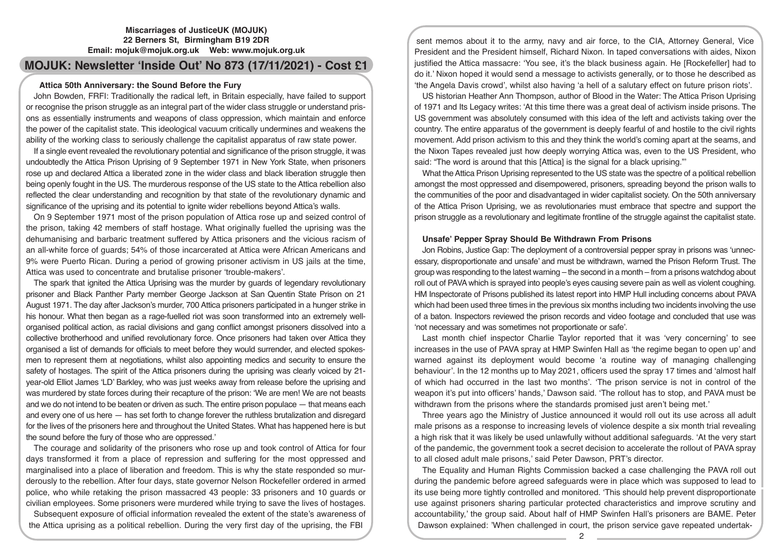## **Miscarriages of JusticeUK (MOJUK) 22 Berners St, Birmingham B19 2DR Email: mojuk@mojuk.org.uk Web: www.mojuk.org.uk**

# **MOJUK: Newsletter 'Inside Out' No 873 (17/11/2021) - Cost £1**

## **Attica 50th Anniversary: the Sound Before the Fury**

John Bowden, FRFI: Traditionally the radical left, in Britain especially, have failed to support or recognise the prison struggle as an integral part of the wider class struggle or understand prisons as essentially instruments and weapons of class oppression, which maintain and enforce the power of the capitalist state. This ideological vacuum critically undermines and weakens the ability of the working class to seriously challenge the capitalist apparatus of raw state power.

If a single event revealed the revolutionary potential and significance of the prison struggle, it was undoubtedly the Attica Prison Uprising of 9 September 1971 in New York State, when prisoners rose up and declared Attica a liberated zone in the wider class and black liberation struggle then being openly fought in the US. The murderous response of the US state to the Attica rebellion also reflected the clear understanding and recognition by that state of the revolutionary dynamic and significance of the uprising and its potential to ignite wider rebellions beyond Attica's walls.

On 9 September 1971 most of the prison population of Attica rose up and seized control of the prison, taking 42 members of staff hostage. What originally fuelled the uprising was the dehumanising and barbaric treatment suffered by Attica prisoners and the vicious racism of an all-white force of guards; 54% of those incarcerated at Attica were African Americans and 9% were Puerto Rican. During a period of growing prisoner activism in US jails at the time, Attica was used to concentrate and brutalise prisoner 'trouble-makers'.

The spark that ignited the Attica Uprising was the murder by guards of legendary revolutionary prisoner and Black Panther Party member George Jackson at San Quentin State Prison on 21 August 1971. The day after Jackson's murder, 700 Attica prisoners participated in a hunger strike in his honour. What then began as a rage-fuelled riot was soon transformed into an extremely wellorganised political action, as racial divisions and gang conflict amongst prisoners dissolved into a collective brotherhood and unified revolutionary force. Once prisoners had taken over Attica they organised a list of demands for officials to meet before they would surrender, and elected spokesmen to represent them at negotiations, whilst also appointing medics and security to ensure the safety of hostages. The spirit of the Attica prisoners during the uprising was clearly voiced by 21 year-old Elliot James 'LD' Barkley, who was just weeks away from release before the uprising and was murdered by state forces during their recapture of the prison: 'We are men! We are not beasts and we do not intend to be beaten or driven as such. The entire prison populace — that means each and every one of us here — has set forth to change forever the ruthless brutalization and disregard for the lives of the prisoners here and throughout the United States. What has happened here is but the sound before the fury of those who are oppressed.'

The courage and solidarity of the prisoners who rose up and took control of Attica for four days transformed it from a place of repression and suffering for the most oppressed and marginalised into a place of liberation and freedom. This is why the state responded so murderously to the rebellion. After four days, state governor Nelson Rockefeller ordered in armed police, who while retaking the prison massacred 43 people: 33 prisoners and 10 guards or civilian employees. Some prisoners were murdered while trying to save the lives of hostages.

Subsequent exposure of official information revealed the extent of the state's awareness of the Attica uprising as a political rebellion. During the very first day of the uprising, the FBI

sent memos about it to the army, navy and air force, to the CIA, Attorney General, Vice President and the President himself, Richard Nixon. In taped conversations with aides, Nixon justified the Attica massacre: 'You see, it's the black business again. He [Rockefeller] had to do it.' Nixon hoped it would send a message to activists generally, or to those he described as 'the Angela Davis crowd', whilst also having 'a hell of a salutary effect on future prison riots'.

US historian Heather Ann Thompson, author of Blood in the Water: The Attica Prison Uprising of 1971 and Its Legacy writes: 'At this time there was a great deal of activism inside prisons. The US government was absolutely consumed with this idea of the left and activists taking over the country. The entire apparatus of the government is deeply fearful of and hostile to the civil rights movement. Add prison activism to this and they think the world's coming apart at the seams, and the Nixon Tapes revealed just how deeply worrying Attica was, even to the US President, who said: "The word is around that this [Attica] is the signal for a black uprising."'

What the Attica Prison Uprising represented to the US state was the spectre of a political rebellion amongst the most oppressed and disempowered, prisoners, spreading beyond the prison walls to the communities of the poor and disadvantaged in wider capitalist society. On the 50th anniversary of the Attica Prison Uprising, we as revolutionaries must embrace that spectre and support the prison struggle as a revolutionary and legitimate frontline of the struggle against the capitalist state.

## **Unsafe' Pepper Spray Should Be Withdrawn From Prisons**

Jon Robins, Justice Gap: The deployment of a controversial pepper spray in prisons was 'unnecessary, disproportionate and unsafe' and must be withdrawn, warned the Prison Reform Trust. The group was responding to the latest warning – the second in a month – from a prisons watchdog about roll out of PAVA which is sprayed into people's eyes causing severe pain as well as violent coughing. HM Inspectorate of Prisons published its latest report into HMP Hull including concerns about PAVA which had been used three times in the previous six months including two incidents involving the use of a baton. Inspectors reviewed the prison records and video footage and concluded that use was 'not necessary and was sometimes not proportionate or safe'.

Last month chief inspector Charlie Taylor reported that it was 'very concerning' to see increases in the use of PAVA spray at HMP Swinfen Hall as 'the regime began to open up' and warned against its deployment would become 'a routine way of managing challenging behaviour'. In the 12 months up to May 2021, officers used the spray 17 times and 'almost half of which had occurred in the last two months'. 'The prison service is not in control of the weapon it's put into officers' hands,' Dawson said. 'The rollout has to stop, and PAVA must be withdrawn from the prisons where the standards promised just aren't being met.'

Three years ago the Ministry of Justice announced it would roll out its use across all adult male prisons as a response to increasing levels of violence despite a six month trial revealing a high risk that it was likely be used unlawfully without additional safeguards. 'At the very start of the pandemic, the government took a secret decision to accelerate the rollout of PAVA spray to all closed adult male prisons,' said Peter Dawson, PRT's director.

The Equality and Human Rights Commission backed a case challenging the PAVA roll out during the pandemic before agreed safeguards were in place which was supposed to lead to its use being more tightly controlled and monitored. 'This should help prevent disproportionate use against prisoners sharing particular protected characteristics and improve scrutiny and accountability,' the group said. About half of HMP Swinfen Hall's prisoners are BAME. Peter Dawson explained: 'When challenged in court, the prison service gave repeated undertak-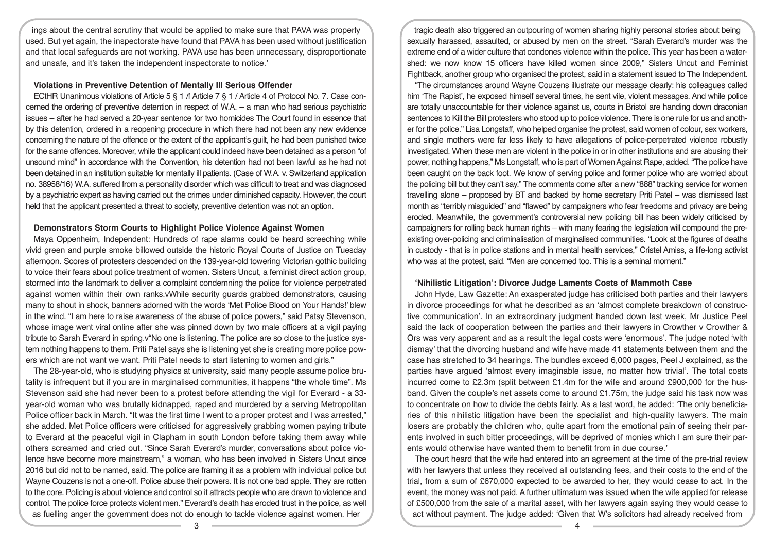ings about the central scrutiny that would be applied to make sure that PAVA was properly used. But yet again, the inspectorate have found that PAVA has been used without justification and that local safeguards are not working. PAVA use has been unnecessary, disproportionate and unsafe, and it's taken the independent inspectorate to notice.'

#### **Violations in Preventive Detention of Mentally Ill Serious Offender**

ECtHR Unanimous violations of Article 5 § 1 /f Article 7 § 1 / Article 4 of Protocol No. 7. Case concerned the ordering of preventive detention in respect of W.A. – a man who had serious psychiatric issues – after he had served a 20-year sentence for two homicides The Court found in essence that by this detention, ordered in a reopening procedure in which there had not been any new evidence concerning the nature of the offence or the extent of the applicant's guilt, he had been punished twice for the same offences. Moreover, while the applicant could indeed have been detained as a person "of unsound mind" in accordance with the Convention, his detention had not been lawful as he had not been detained in an institution suitable for mentally ill patients. (Case of W.A. v. Switzerland application no. 38958/16) W.A. suffered from a personality disorder which was difficult to treat and was diagnosed by a psychiatric expert as having carried out the crimes under diminished capacity. However, the court held that the applicant presented a threat to society, preventive detention was not an option.

#### **Demonstrators Storm Courts to Highlight Police Violence Against Women**

Maya Oppenheim, Independent: Hundreds of rape alarms could be heard screeching while vivid green and purple smoke billowed outside the historic Royal Courts of Justice on Tuesday afternoon. Scores of protesters descended on the 139-year-old towering Victorian gothic building to voice their fears about police treatment of women. Sisters Uncut, a feminist direct action group, stormed into the landmark to deliver a complaint condemning the police for violence perpetrated against women within their own ranks.vWhile security guards grabbed demonstrators, causing many to shout in shock, banners adorned with the words 'Met Police Blood on Your Hands!' blew in the wind. "I am here to raise awareness of the abuse of police powers," said Patsy Stevenson, whose image went viral online after she was pinned down by two male officers at a vigil paying tribute to Sarah Everard in spring.v"No one is listening. The police are so close to the justice system nothing happens to them. Priti Patel says she is listening yet she is creating more police powers which are not want we want. Priti Patel needs to start listening to women and girls."

The 28-year-old, who is studying physics at university, said many people assume police brutality is infrequent but if you are in marginalised communities, it happens "the whole time". Ms Stevenson said she had never been to a protest before attending the vigil for Everard - a 33 year-old woman who was brutally kidnapped, raped and murdered by a serving Metropolitan Police officer back in March. "It was the first time I went to a proper protest and I was arrested," she added. Met Police officers were criticised for aggressively grabbing women paying tribute to Everard at the peaceful vigil in Clapham in south London before taking them away while others screamed and cried out. "Since Sarah Everard's murder, conversations about police violence have become more mainstream," a woman, who has been involved in Sisters Uncut since 2016 but did not to be named, said. The police are framing it as a problem with individual police but Wayne Couzens is not a one-off. Police abuse their powers. It is not one bad apple. They are rotten to the core. Policing is about violence and control so it attracts people who are drawn to violence and control. The police force protects violent men." Everard's death has eroded trust in the police, as well as fuelling anger the government does not do enough to tackle violence against women. Her

tragic death also triggered an outpouring of women sharing highly personal stories about being sexually harassed, assaulted, or abused by men on the street. "Sarah Everard's murder was the extreme end of a wider culture that condones violence within the police. This year has been a watershed: we now know 15 officers have killed women since 2009," Sisters Uncut and Feminist Fightback, another group who organised the protest, said in a statement issued to The Independent.

"The circumstances around Wayne Couzens illustrate our message clearly: his colleagues called him 'The Rapist', he exposed himself several times, he sent vile, violent messages. And while police are totally unaccountable for their violence against us, courts in Bristol are handing down draconian sentences to Kill the Bill protesters who stood up to police violence. There is one rule for us and another for the police." Lisa Longstaff, who helped organise the protest, said women of colour, sex workers, and single mothers were far less likely to have allegations of police-perpetrated violence robustly investigated. When these men are violent in the police in or in other institutions and are abusing their power, nothing happens," Ms Longstaff, who is part of Women Against Rape, added. "The police have been caught on the back foot. We know of serving police and former police who are worried about the policing bill but they can't say." The comments come after a new "888" tracking service for women travelling alone – proposed by BT and backed by home secretary Priti Patel – was dismissed last month as "terribly misguided" and "flawed" by campaigners who fear freedoms and privacy are being eroded. Meanwhile, the government's controversial new policing bill has been widely criticised by campaigners for rolling back human rights – with many fearing the legislation will compound the preexisting over-policing and criminalisation of marginalised communities. "Look at the figures of deaths in custody - that is in police stations and in mental health services," Cristel Amiss, a life-long activist who was at the protest, said. "Men are concerned too. This is a seminal moment."

### **'Nihilistic Litigation': Divorce Judge Laments Costs of Mammoth Case**

John Hyde, Law Gazette: An exasperated judge has criticised both parties and their lawyers in divorce proceedings for what he described as an 'almost complete breakdown of constructive communication'. In an extraordinary judgment handed down last week, Mr Justice Peel said the lack of cooperation between the parties and their lawyers in Crowther v Crowther & Ors was very apparent and as a result the legal costs were 'enormous'. The judge noted 'with dismay' that the divorcing husband and wife have made 41 statements between them and the case has stretched to 34 hearings. The bundles exceed 6,000 pages, Peel J explained, as the parties have argued 'almost every imaginable issue, no matter how trivial'. The total costs incurred come to £2.3m (split between £1.4m for the wife and around £900,000 for the husband. Given the couple's net assets come to around £1.75m, the judge said his task now was to concentrate on how to divide the debts fairly. As a last word, he added: 'The only beneficiaries of this nihilistic litigation have been the specialist and high-quality lawyers. The main losers are probably the children who, quite apart from the emotional pain of seeing their parents involved in such bitter proceedings, will be deprived of monies which I am sure their parents would otherwise have wanted them to benefit from in due course.'

The court heard that the wife had entered into an agreement at the time of the pre-trial review with her lawyers that unless they received all outstanding fees, and their costs to the end of the trial, from a sum of £670,000 expected to be awarded to her, they would cease to act. In the event, the money was not paid. A further ultimatum was issued when the wife applied for release of £500,000 from the sale of a marital asset, with her lawyers again saying they would cease to act without payment. The judge added: 'Given that W's solicitors had already received from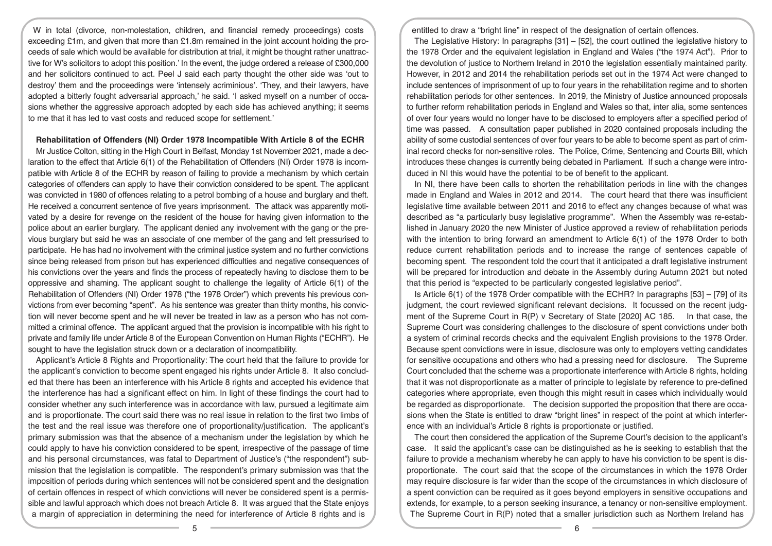W in total (divorce, non-molestation, children, and financial remedy proceedings) costs exceeding £1m, and given that more than £1.8m remained in the joint account holding the proceeds of sale which would be available for distribution at trial, it might be thought rather unattractive for W's solicitors to adopt this position.' In the event, the judge ordered a release of £300,000 and her solicitors continued to act. Peel J said each party thought the other side was 'out to destroy' them and the proceedings were 'intensely acriminious'. 'They, and their lawyers, have adopted a bitterly fought adversarial approach,' he said. 'I asked myself on a number of occasions whether the aggressive approach adopted by each side has achieved anything; it seems to me that it has led to vast costs and reduced scope for settlement.'

#### **Rehabilitation of Offenders (NI) Order 1978 Incompatible With Article 8 of the ECHR**

Mr Justice Colton, sitting in the High Court in Belfast, Monday 1st November 2021, made a declaration to the effect that Article 6(1) of the Rehabilitation of Offenders (NI) Order 1978 is incompatible with Article 8 of the ECHR by reason of failing to provide a mechanism by which certain categories of offenders can apply to have their conviction considered to be spent. The applicant was convicted in 1980 of offences relating to a petrol bombing of a house and burglary and theft. He received a concurrent sentence of five years imprisonment. The attack was apparently motivated by a desire for revenge on the resident of the house for having given information to the police about an earlier burglary. The applicant denied any involvement with the gang or the previous burglary but said he was an associate of one member of the gang and felt pressurised to participate. He has had no involvement with the criminal justice system and no further convictions since being released from prison but has experienced difficulties and negative consequences of his convictions over the years and finds the process of repeatedly having to disclose them to be oppressive and shaming. The applicant sought to challenge the legality of Article 6(1) of the Rehabilitation of Offenders (NI) Order 1978 ("the 1978 Order") which prevents his previous convictions from ever becoming "spent". As his sentence was greater than thirty months, his conviction will never become spent and he will never be treated in law as a person who has not committed a criminal offence. The applicant argued that the provision is incompatible with his right to private and family life under Article 8 of the European Convention on Human Rights ("ECHR"). He sought to have the legislation struck down or a declaration of incompatibility.

Applicant's Article 8 Rights and Proportionality: The court held that the failure to provide for the applicant's conviction to become spent engaged his rights under Article 8. It also concluded that there has been an interference with his Article 8 rights and accepted his evidence that the interference has had a significant effect on him. In light of these findings the court had to consider whether any such interference was in accordance with law, pursued a legitimate aim and is proportionate. The court said there was no real issue in relation to the first two limbs of the test and the real issue was therefore one of proportionality/justification. The applicant's primary submission was that the absence of a mechanism under the legislation by which he could apply to have his conviction considered to be spent, irrespective of the passage of time and his personal circumstances, was fatal to Department of Justice's ("the respondent") submission that the legislation is compatible. The respondent's primary submission was that the imposition of periods during which sentences will not be considered spent and the designation of certain offences in respect of which convictions will never be considered spent is a permissible and lawful approach which does not breach Article 8. It was argued that the State enjoys a margin of appreciation in determining the need for interference of Article 8 rights and is

entitled to draw a "bright line" in respect of the designation of certain offences.

The Legislative History: In paragraphs [31] – [52], the court outlined the legislative history to the 1978 Order and the equivalent legislation in England and Wales ("the 1974 Act"). Prior to the devolution of justice to Northern Ireland in 2010 the legislation essentially maintained parity. However, in 2012 and 2014 the rehabilitation periods set out in the 1974 Act were changed to include sentences of imprisonment of up to four years in the rehabilitation regime and to shorten rehabilitation periods for other sentences. In 2019, the Ministry of Justice announced proposals to further reform rehabilitation periods in England and Wales so that, inter alia, some sentences of over four years would no longer have to be disclosed to employers after a specified period of time was passed. A consultation paper published in 2020 contained proposals including the ability of some custodial sentences of over four years to be able to become spent as part of criminal record checks for non-sensitive roles. The Police, Crime, Sentencing and Courts Bill, which introduces these changes is currently being debated in Parliament. If such a change were introduced in NI this would have the potential to be of benefit to the applicant.

In NI, there have been calls to shorten the rehabilitation periods in line with the changes made in England and Wales in 2012 and 2014. The court heard that there was insufficient legislative time available between 2011 and 2016 to effect any changes because of what was described as "a particularly busy legislative programme". When the Assembly was re-established in January 2020 the new Minister of Justice approved a review of rehabilitation periods with the intention to bring forward an amendment to Article 6(1) of the 1978 Order to both reduce current rehabilitation periods and to increase the range of sentences capable of becoming spent. The respondent told the court that it anticipated a draft legislative instrument will be prepared for introduction and debate in the Assembly during Autumn 2021 but noted that this period is "expected to be particularly congested legislative period".

Is Article 6(1) of the 1978 Order compatible with the ECHR? In paragraphs [53] – [79] of its judgment, the court reviewed significant relevant decisions. It focussed on the recent judgment of the Supreme Court in R(P) v Secretary of State [2020] AC 185. In that case, the Supreme Court was considering challenges to the disclosure of spent convictions under both a system of criminal records checks and the equivalent English provisions to the 1978 Order. Because spent convictions were in issue, disclosure was only to employers vetting candidates for sensitive occupations and others who had a pressing need for disclosure. The Supreme Court concluded that the scheme was a proportionate interference with Article 8 rights, holding that it was not disproportionate as a matter of principle to legislate by reference to pre-defined categories where appropriate, even though this might result in cases which individually would be regarded as disproportionate. The decision supported the proposition that there are occasions when the State is entitled to draw "bright lines" in respect of the point at which interference with an individual's Article 8 rights is proportionate or justified.

The court then considered the application of the Supreme Court's decision to the applicant's case. It said the applicant's case can be distinguished as he is seeking to establish that the failure to provide a mechanism whereby he can apply to have his conviction to be spent is disproportionate. The court said that the scope of the circumstances in which the 1978 Order may require disclosure is far wider than the scope of the circumstances in which disclosure of a spent conviction can be required as it goes beyond employers in sensitive occupations and extends, for example, to a person seeking insurance, a tenancy or non-sensitive employment. The Supreme Court in R(P) noted that a smaller jurisdiction such as Northern Ireland has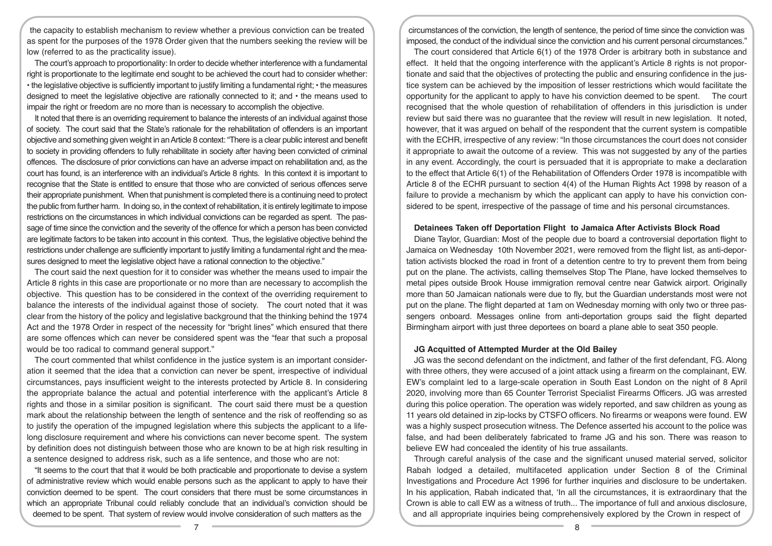the capacity to establish mechanism to review whether a previous conviction can be treated as spent for the purposes of the 1978 Order given that the numbers seeking the review will be low (referred to as the practicality issue).

The court's approach to proportionality: In order to decide whether interference with a fundamental right is proportionate to the legitimate end sought to be achieved the court had to consider whether: • the legislative objective is sufficiently important to justify limiting a fundamental right; • the measures designed to meet the legislative objective are rationally connected to it; and • the means used to impair the right or freedom are no more than is necessary to accomplish the objective.

It noted that there is an overriding requirement to balance the interests of an individual against those of society. The court said that the State's rationale for the rehabilitation of offenders is an important objective and something given weight in an Article 8 context: "There is a clear public interest and benefit to society in providing offenders to fully rehabilitate in society after having been convicted of criminal offences. The disclosure of prior convictions can have an adverse impact on rehabilitation and, as the court has found, is an interference with an individual's Article 8 rights. In this context it is important to recognise that the State is entitled to ensure that those who are convicted of serious offences serve their appropriate punishment. When that punishment is completed there is a continuing need to protect the public from further harm. In doing so, in the context of rehabilitation, it is entirely legitimate to impose restrictions on the circumstances in which individual convictions can be regarded as spent. The passage of time since the conviction and the severity of the offence for which a person has been convicted are legitimate factors to be taken into account in this context. Thus, the legislative objective behind the restrictions under challenge are sufficiently important to justify limiting a fundamental right and the measures designed to meet the legislative object have a rational connection to the objective."

The court said the next question for it to consider was whether the means used to impair the Article 8 rights in this case are proportionate or no more than are necessary to accomplish the objective. This question has to be considered in the context of the overriding requirement to balance the interests of the individual against those of society. The court noted that it was clear from the history of the policy and legislative background that the thinking behind the 1974 Act and the 1978 Order in respect of the necessity for "bright lines" which ensured that there are some offences which can never be considered spent was the "fear that such a proposal would be too radical to command general support."

The court commented that whilst confidence in the justice system is an important consideration it seemed that the idea that a conviction can never be spent, irrespective of individual circumstances, pays insufficient weight to the interests protected by Article 8. In considering the appropriate balance the actual and potential interference with the applicant's Article 8 rights and those in a similar position is significant. The court said there must be a question mark about the relationship between the length of sentence and the risk of reoffending so as to justify the operation of the impugned legislation where this subjects the applicant to a lifelong disclosure requirement and where his convictions can never become spent. The system by definition does not distinguish between those who are known to be at high risk resulting in a sentence designed to address risk, such as a life sentence, and those who are not:

"It seems to the court that that it would be both practicable and proportionate to devise a system of administrative review which would enable persons such as the applicant to apply to have their conviction deemed to be spent. The court considers that there must be some circumstances in which an appropriate Tribunal could reliably conclude that an individual's conviction should be deemed to be spent. That system of review would involve consideration of such matters as the

circumstances of the conviction, the length of sentence, the period of time since the conviction was imposed, the conduct of the individual since the conviction and his current personal circumstances."

The court considered that Article 6(1) of the 1978 Order is arbitrary both in substance and effect. It held that the ongoing interference with the applicant's Article 8 rights is not proportionate and said that the objectives of protecting the public and ensuring confidence in the justice system can be achieved by the imposition of lesser restrictions which would facilitate the opportunity for the applicant to apply to have his conviction deemed to be spent. The court recognised that the whole question of rehabilitation of offenders in this jurisdiction is under review but said there was no guarantee that the review will result in new legislation. It noted, however, that it was argued on behalf of the respondent that the current system is compatible with the ECHR, irrespective of any review: "In those circumstances the court does not consider it appropriate to await the outcome of a review. This was not suggested by any of the parties in any event. Accordingly, the court is persuaded that it is appropriate to make a declaration to the effect that Article 6(1) of the Rehabilitation of Offenders Order 1978 is incompatible with Article 8 of the ECHR pursuant to section 4(4) of the Human Rights Act 1998 by reason of a failure to provide a mechanism by which the applicant can apply to have his conviction considered to be spent, irrespective of the passage of time and his personal circumstances.

### **Detainees Taken off Deportation Flight to Jamaica After Activists Block Road**

Diane Taylor, Guardian: Most of the people due to board a controversial deportation flight to Jamaica on Wednesday 10th November 2021, were removed from the flight list, as anti-deportation activists blocked the road in front of a detention centre to try to prevent them from being put on the plane. The activists, calling themselves Stop The Plane, have locked themselves to metal pipes outside Brook House immigration removal centre near Gatwick airport. Originally more than 50 Jamaican nationals were due to fly, but the Guardian understands most were not put on the plane. The flight departed at 1am on Wednesday morning with only two or three passengers onboard. Messages online from anti-deportation groups said the flight departed Birmingham airport with just three deportees on board a plane able to seat 350 people.

## **JG Acquitted of Attempted Murder at the Old Bailey**

JG was the second defendant on the indictment, and father of the first defendant, FG. Along with three others, they were accused of a joint attack using a firearm on the complainant, EW. EW's complaint led to a large-scale operation in South East London on the night of 8 April 2020, involving more than 65 Counter Terrorist Specialist Firearms Officers. JG was arrested during this police operation. The operation was widely reported, and saw children as young as 11 years old detained in zip-locks by CTSFO officers. No firearms or weapons were found. EW was a highly suspect prosecution witness. The Defence asserted his account to the police was false, and had been deliberately fabricated to frame JG and his son. There was reason to believe EW had concealed the identity of his true assailants.

Through careful analysis of the case and the significant unused material served, solicitor Rabah lodged a detailed, multifaceted application under Section 8 of the Criminal Investigations and Procedure Act 1996 for further inquiries and disclosure to be undertaken. In his application, Rabah indicated that, 'In all the circumstances, it is extraordinary that the Crown is able to call EW as a witness of truth... The importance of full and anxious disclosure, and all appropriate inquiries being comprehensively explored by the Crown in respect of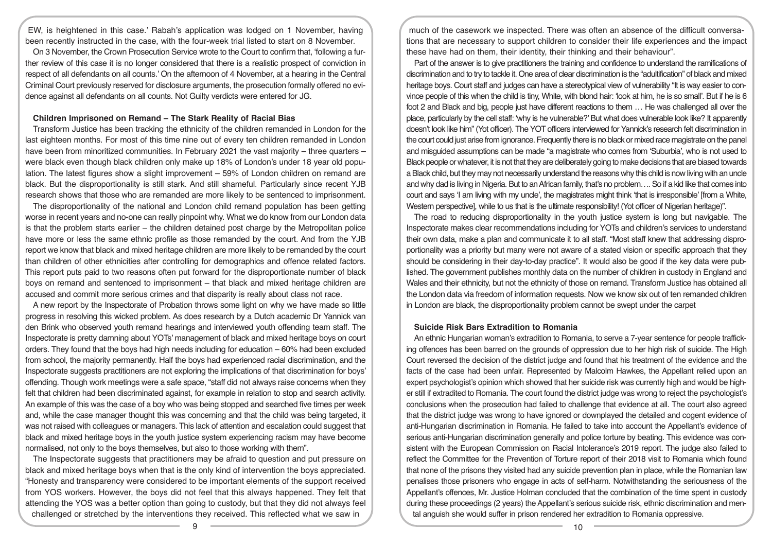EW, is heightened in this case.' Rabah's application was lodged on 1 November, having been recently instructed in the case, with the four-week trial listed to start on 8 November.

On 3 November, the Crown Prosecution Service wrote to the Court to confirm that, 'following a further review of this case it is no longer considered that there is a realistic prospect of conviction in respect of all defendants on all counts.' On the afternoon of 4 November, at a hearing in the Central Criminal Court previously reserved for disclosure arguments, the prosecution formally offered no evidence against all defendants on all counts. Not Guilty verdicts were entered for JG.

## **Children Imprisoned on Remand – The Stark Reality of Racial Bias**

Transform Justice has been tracking the ethnicity of the children remanded in London for the last eighteen months. For most of this time nine out of every ten children remanded in London have been from minoritized communities. In February 2021 the vast majority – three quarters – were black even though black children only make up 18% of London's under 18 year old population. The latest figures show a slight improvement – 59% of London children on remand are black. But the disproportionality is still stark. And still shameful. Particularly since recent YJB research shows that those who are remanded are more likely to be sentenced to imprisonment.

The disproportionality of the national and London child remand population has been getting worse in recent years and no-one can really pinpoint why. What we do know from our London data is that the problem starts earlier – the children detained post charge by the Metropolitan police have more or less the same ethnic profile as those remanded by the court. And from the YJB report we know that black and mixed heritage children are more likely to be remanded by the court than children of other ethnicities after controlling for demographics and offence related factors. This report puts paid to two reasons often put forward for the disproportionate number of black boys on remand and sentenced to imprisonment – that black and mixed heritage children are accused and commit more serious crimes and that disparity is really about class not race.

A new report by the Inspectorate of Probation throws some light on why we have made so little progress in resolving this wicked problem. As does research by a Dutch academic Dr Yannick van den Brink who observed youth remand hearings and interviewed youth offending team staff. The Inspectorate is pretty damning about YOTs' management of black and mixed heritage boys on court orders. They found that the boys had high needs including for education – 60% had been excluded from school, the majority permanently. Half the boys had experienced racial discrimination, and the Inspectorate suggests practitioners are not exploring the implications of that discrimination for boys' offending. Though work meetings were a safe space, "staff did not always raise concerns when they felt that children had been discriminated against, for example in relation to stop and search activity. An example of this was the case of a boy who was being stopped and searched five times per week and, while the case manager thought this was concerning and that the child was being targeted, it was not raised with colleagues or managers. This lack of attention and escalation could suggest that black and mixed heritage boys in the youth justice system experiencing racism may have become normalised, not only to the boys themselves, but also to those working with them".

The Inspectorate suggests that practitioners may be afraid to question and put pressure on black and mixed heritage boys when that is the only kind of intervention the boys appreciated. "Honesty and transparency were considered to be important elements of the support received from YOS workers. However, the boys did not feel that this always happened. They felt that attending the YOS was a better option than going to custody, but that they did not always feel challenged or stretched by the interventions they received. This reflected what we saw in

much of the casework we inspected. There was often an absence of the difficult conversations that are necessary to support children to consider their life experiences and the impact these have had on them, their identity, their thinking and their behaviour".

Part of the answer is to give practitioners the training and confidence to understand the ramifications of discrimination and to try to tackle it. One area of clear discrimination is the "adultification" of black and mixed heritage boys. Court staff and judges can have a stereotypical view of vulnerability "It is way easier to convince people of this when the child is tiny, White, with blond hair: 'look at him, he is so small'. But if he is 6 foot 2 and Black and big, people just have different reactions to them … He was challenged all over the place, particularly by the cell staff: 'why is he vulnerable?' But what does vulnerable look like? It apparently doesn't look like him" (Yot officer). The YOT officers interviewed for Yannick's research felt discrimination in the court could just arise from ignorance. Frequently there is no black or mixed race magistrate on the panel and misguided assumptions can be made "a magistrate who comes from 'Suburbia', who is not used to Black people or whatever, it is not that they are deliberately going to make decisions that are biased towards a Black child, but they may not necessarily understand the reasons why this child is now living with an uncle and why dad is living in Nigeria. But to an African family, that's no problem…. So if a kid like that comes into court and says 'I am living with my uncle', the magistrates might think 'that is irresponsible' [from a White, Western perspective], while to us that is the ultimate responsibility! (Yot officer of Nigerian heritage)".

The road to reducing disproportionality in the youth justice system is long but navigable. The Inspectorate makes clear recommendations including for YOTs and children's services to understand their own data, make a plan and communicate it to all staff. "Most staff knew that addressing disproportionality was a priority but many were not aware of a stated vision or specific approach that they should be considering in their day-to-day practice". It would also be good if the key data were published. The government publishes monthly data on the number of children in custody in England and Wales and their ethnicity, but not the ethnicity of those on remand. Transform Justice has obtained all the London data via freedom of information requests. Now we know six out of ten remanded children in London are black, the disproportionality problem cannot be swept under the carpet

### **Suicide Risk Bars Extradition to Romania**

An ethnic Hungarian woman's extradition to Romania, to serve a 7-year sentence for people trafficking offences has been barred on the grounds of oppression due to her high risk of suicide. The High Court reversed the decision of the district judge and found that his treatment of the evidence and the facts of the case had been unfair. Represented by Malcolm Hawkes, the Appellant relied upon an expert psychologist's opinion which showed that her suicide risk was currently high and would be higher still if extradited to Romania. The court found the district judge was wrong to reject the psychologist's conclusions when the prosecution had failed to challenge that evidence at all. The court also agreed that the district judge was wrong to have ignored or downplayed the detailed and cogent evidence of anti-Hungarian discrimination in Romania. He failed to take into account the Appellant's evidence of serious anti-Hungarian discrimination generally and police torture by beating. This evidence was consistent with the European Commission on Racial Intolerance's 2019 report. The judge also failed to reflect the Committee for the Prevention of Torture report of their 2018 visit to Romania which found that none of the prisons they visited had any suicide prevention plan in place, while the Romanian law penalises those prisoners who engage in acts of self-harm. Notwithstanding the seriousness of the Appellant's offences, Mr. Justice Holman concluded that the combination of the time spent in custody during these proceedings (2 years) the Appellant's serious suicide risk, ethnic discrimination and mental anguish she would suffer in prison rendered her extradition to Romania oppressive.